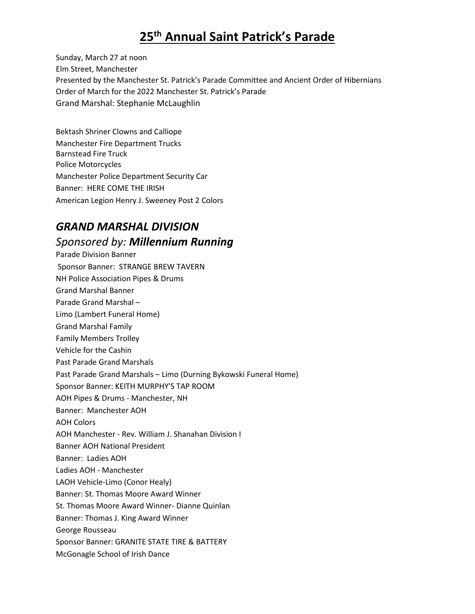# **25 th Annual Saint Patrick's Parade**

Sunday, March 27 at noon Elm Street, Manchester Presented by the Manchester St. Patrick's Parade Committee and Ancient Order of Hibernians Order of March for the 2022 Manchester St. Patrick's Parade Grand Marshal: Stephanie McLaughlin

Bektash Shriner Clowns and Calliope Manchester Fire Department Trucks Barnstead Fire Truck Police Motorcycles Manchester Police Department Security Car Banner: HERE COME THE IRISH American Legion Henry J. Sweeney Post 2 Colors

## *GRAND MARSHAL DIVISION*

#### *Sponsored by: Millennium Running*

Parade Division Banner Sponsor Banner: STRANGE BREW TAVERN NH Police Association Pipes & Drums Grand Marshal Banner Parade Grand Marshal – Limo (Lambert Funeral Home) Grand Marshal Family Family Members Trolley Vehicle for the Cashin Past Parade Grand Marshals Past Parade Grand Marshals – Limo (Durning Bykowski Funeral Home) Sponsor Banner: KEITH MURPHY'S TAP ROOM AOH Pipes & Drums - Manchester, NH Banner: Manchester AOH AOH Colors AOH Manchester - Rev. William J. Shanahan Division I Banner AOH National President Banner: Ladies AOH Ladies AOH - Manchester LAOH Vehicle-Limo (Conor Healy) Banner: St. Thomas Moore Award Winner St. Thomas Moore Award Winner- Dianne Quinlan Banner: Thomas J. King Award Winner George Rousseau Sponsor Banner: GRANITE STATE TIRE & BATTERY McGonagle School of Irish Dance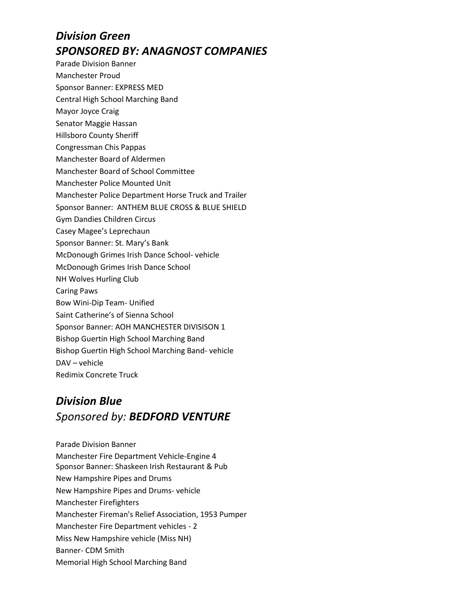# *Division Green SPONSORED BY: ANAGNOST COMPANIES*

- Parade Division Banner
- Manchester Proud
- Sponsor Banner: EXPRESS MED
- Central High School Marching Band
- Mayor Joyce Craig
- Senator Maggie Hassan
- Hillsboro County Sheriff
- Congressman Chis Pappas
- Manchester Board of Aldermen
- Manchester Board of School Committee
- Manchester Police Mounted Unit
- Manchester Police Department Horse Truck and Trailer
- Sponsor Banner: ANTHEM BLUE CROSS & BLUE SHIELD
- Gym Dandies Children Circus
- Casey Magee's Leprechaun
- Sponsor Banner: St. Mary's Bank
- McDonough Grimes Irish Dance School- vehicle
- McDonough Grimes Irish Dance School
- NH Wolves Hurling Club
- Caring Paws
- Bow Wini-Dip Team- Unified
- Saint Catherine's of Sienna School
- Sponsor Banner: AOH MANCHESTER DIVISISON 1
- Bishop Guertin High School Marching Band
- Bishop Guertin High School Marching Band- vehicle
- DAV vehicle
- Redimix Concrete Truck

# *Division Blue Sponsored by: BEDFORD VENTURE*

Parade Division Banner Manchester Fire Department Vehicle-Engine 4 Sponsor Banner: Shaskeen Irish Restaurant & Pub New Hampshire Pipes and Drums New Hampshire Pipes and Drums- vehicle Manchester Firefighters Manchester Fireman's Relief Association, 1953 Pumper Manchester Fire Department vehicles - 2 Miss New Hampshire vehicle (Miss NH) Banner- CDM Smith Memorial High School Marching Band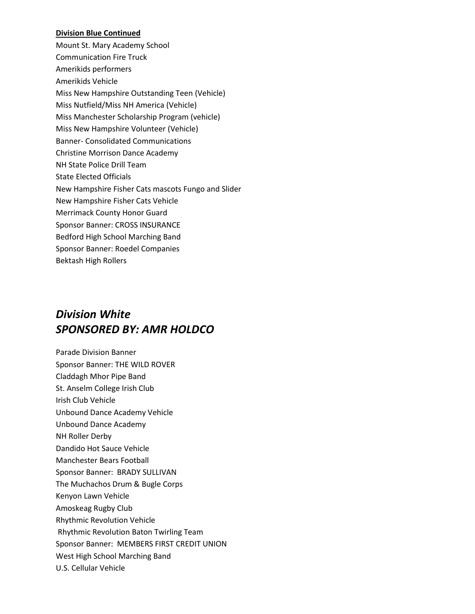#### **Division Blue Continued**

Mount St. Mary Academy School Communication Fire Truck Amerikids performers Amerikids Vehicle Miss New Hampshire Outstanding Teen (Vehicle) Miss Nutfield/Miss NH America (Vehicle) Miss Manchester Scholarship Program (vehicle) Miss New Hampshire Volunteer (Vehicle) Banner- Consolidated Communications Christine Morrison Dance Academy NH State Police Drill Team State Elected Officials New Hampshire Fisher Cats mascots Fungo and Slider New Hampshire Fisher Cats Vehicle Merrimack County Honor Guard Sponsor Banner: CROSS INSURANCE Bedford High School Marching Band Sponsor Banner: Roedel Companies Bektash High Rollers

## *Division White SPONSORED BY: AMR HOLDCO*

Parade Division Banner Sponsor Banner: THE WILD ROVER Claddagh Mhor Pipe Band St. Anselm College Irish Club Irish Club Vehicle Unbound Dance Academy Vehicle Unbound Dance Academy NH Roller Derby Dandido Hot Sauce Vehicle Manchester Bears Football Sponsor Banner: BRADY SULLIVAN The Muchachos Drum & Bugle Corps Kenyon Lawn Vehicle Amoskeag Rugby Club Rhythmic Revolution Vehicle Rhythmic Revolution Baton Twirling Team Sponsor Banner: MEMBERS FIRST CREDIT UNION West High School Marching Band U.S. Cellular Vehicle